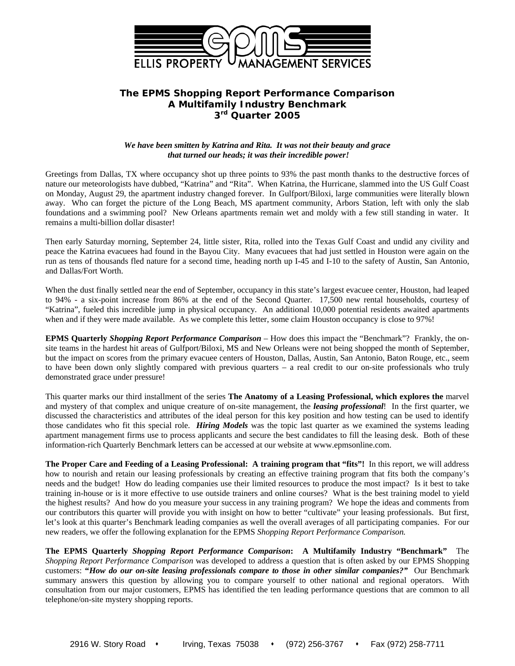

# **The EPMS** *Shopping Report Performance Comparison*  **A Multifamily Industry Benchmark 3rd Quarter 2005**

## *We have been smitten by Katrina and Rita. It was not their beauty and grace that turned our heads; it was their incredible power!*

Greetings from Dallas, TX where occupancy shot up three points to 93% the past month thanks to the destructive forces of nature our meteorologists have dubbed, "Katrina" and "Rita". When Katrina, the Hurricane, slammed into the US Gulf Coast on Monday, August 29, the apartment industry changed forever. In Gulfport/Biloxi, large communities were literally blown away. Who can forget the picture of the Long Beach, MS apartment community, Arbors Station, left with only the slab foundations and a swimming pool? New Orleans apartments remain wet and moldy with a few still standing in water. It remains a multi-billion dollar disaster!

Then early Saturday morning, September 24, little sister, Rita, rolled into the Texas Gulf Coast and undid any civility and peace the Katrina evacuees had found in the Bayou City. Many evacuees that had just settled in Houston were again on the run as tens of thousands fled nature for a second time, heading north up I-45 and I-10 to the safety of Austin, San Antonio, and Dallas/Fort Worth.

When the dust finally settled near the end of September, occupancy in this state's largest evacuee center, Houston, had leaped to 94% - a six-point increase from 86% at the end of the Second Quarter. 17,500 new rental households, courtesy of "Katrina", fueled this incredible jump in physical occupancy. An additional 10,000 potential residents awaited apartments when and if they were made available. As we complete this letter, some claim Houston occupancy is close to 97%!

**EPMS Quarterly** *Shopping Report Performance Comparison* – How does this impact the "Benchmark"? Frankly, the onsite teams in the hardest hit areas of Gulfport/Biloxi, MS and New Orleans were not being shopped the month of September, but the impact on scores from the primary evacuee centers of Houston, Dallas, Austin, San Antonio, Baton Rouge, etc., seem to have been down only slightly compared with previous quarters – a real credit to our on-site professionals who truly demonstrated grace under pressure!

This quarter marks our third installment of the series **The Anatomy of a Leasing Professional, which explores the** marvel and mystery of that complex and unique creature of on-site management, the *leasing professional*! In the first quarter, we discussed the characteristics and attributes of the ideal person for this key position and how testing can be used to identify those candidates who fit this special role. *Hiring Models* was the topic last quarter as we examined the systems leading apartment management firms use to process applicants and secure the best candidates to fill the leasing desk. Both of these information-rich Quarterly Benchmark letters can be accessed at our website at www.epmsonline.com.

**The Proper Care and Feeding of a Leasing Professional: A training program that "fits"!** In this report, we will address how to nourish and retain our leasing professionals by creating an effective training program that fits both the company's needs and the budget! How do leading companies use their limited resources to produce the most impact? Is it best to take training in-house or is it more effective to use outside trainers and online courses? What is the best training model to yield the highest results? And how do you measure your success in any training program? We hope the ideas and comments from our contributors this quarter will provide you with insight on how to better "cultivate" your leasing professionals. But first, let's look at this quarter's Benchmark leading companies as well the overall averages of all participating companies. For our new readers, we offer the following explanation for the EPMS *Shopping Report Performance Comparison.* 

**The EPMS Quarterly** *Shopping Report Performance Comparison***: A Multifamily Industry "Benchmark"** The *Shopping Report Performance Comparison* was developed to address a question that is often asked by our EPMS Shopping customers: **"***How do our on-site leasing professionals compare to those in other similar companies?"*Our Benchmark summary answers this question by allowing you to compare yourself to other national and regional operators. With consultation from our major customers, EPMS has identified the ten leading performance questions that are common to all telephone/on-site mystery shopping reports.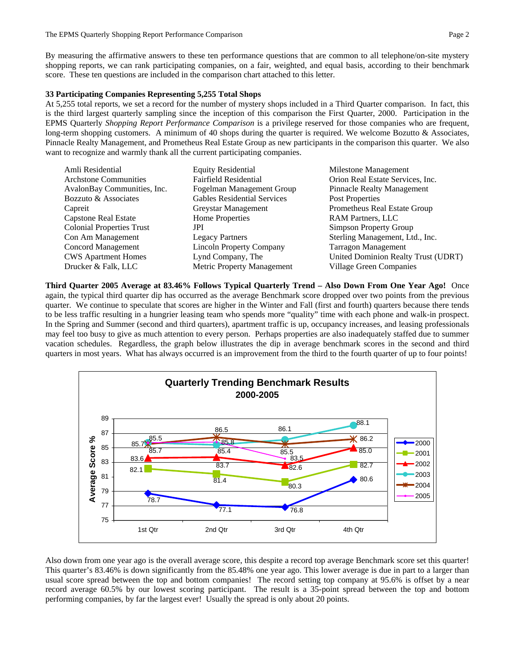By measuring the affirmative answers to these ten performance questions that are common to all telephone/on-site mystery shopping reports, we can rank participating companies, on a fair, weighted, and equal basis, according to their benchmark score. These ten questions are included in the comparison chart attached to this letter.

### **33 Participating Companies Representing 5,255 Total Shops**

At 5,255 total reports, we set a record for the number of mystery shops included in a Third Quarter comparison. In fact, this is the third largest quarterly sampling since the inception of this comparison the First Quarter, 2000. Participation in the EPMS Quarterly *Shopping Report Performance Comparison* is a privilege reserved for those companies who are frequent, long-term shopping customers. A minimum of 40 shops during the quarter is required. We welcome Bozutto & Associates, Pinnacle Realty Management, and Prometheus Real Estate Group as new participants in the comparison this quarter. We also want to recognize and warmly thank all the current participating companies.

| Amli Residential                 | <b>Equity Residential</b>          | Milestone Management                |
|----------------------------------|------------------------------------|-------------------------------------|
| <b>Archatone Communities</b>     | <b>Fairfield Residential</b>       | Orion Real Estate Services, Inc.    |
| AvalonBay Communities, Inc.      | Fogelman Management Group          | <b>Pinnacle Realty Management</b>   |
| Bozzuto & Associates             | <b>Gables Residential Services</b> | Post Properties                     |
| Capreit                          | Greystar Management                | Prometheus Real Estate Group        |
| <b>Capstone Real Estate</b>      | Home Properties                    | <b>RAM Partners, LLC</b>            |
| <b>Colonial Properties Trust</b> | JPI                                | <b>Simpson Property Group</b>       |
| Con Am Management                | <b>Legacy Partners</b>             | Sterling Management, Ltd., Inc.     |
| <b>Concord Management</b>        | <b>Lincoln Property Company</b>    | <b>Tarragon Management</b>          |
| <b>CWS</b> Apartment Homes       | Lynd Company, The                  | United Dominion Realty Trust (UDRT) |
| Drucker & Falk, LLC              | Metric Property Management         | Village Green Companies             |

**Third Quarter 2005 Average at 83.46% Follows Typical Quarterly Trend – Also Down From One Year Ago!** Once again, the typical third quarter dip has occurred as the average Benchmark score dropped over two points from the previous quarter. We continue to speculate that scores are higher in the Winter and Fall (first and fourth) quarters because there tends to be less traffic resulting in a hungrier leasing team who spends more "quality" time with each phone and walk-in prospect. In the Spring and Summer (second and third quarters), apartment traffic is up, occupancy increases, and leasing professionals may feel too busy to give as much attention to every person. Perhaps properties are also inadequately staffed due to summer vacation schedules. Regardless, the graph below illustrates the dip in average benchmark scores in the second and third quarters in most years. What has always occurred is an improvement from the third to the fourth quarter of up to four points!



Also down from one year ago is the overall average score, this despite a record top average Benchmark score set this quarter! This quarter's 83.46% is down significantly from the 85.48% one year ago. This lower average is due in part to a larger than usual score spread between the top and bottom companies! The record setting top company at 95.6% is offset by a near record average 60.5% by our lowest scoring participant. The result is a 35-point spread between the top and bottom performing companies, by far the largest ever! Usually the spread is only about 20 points.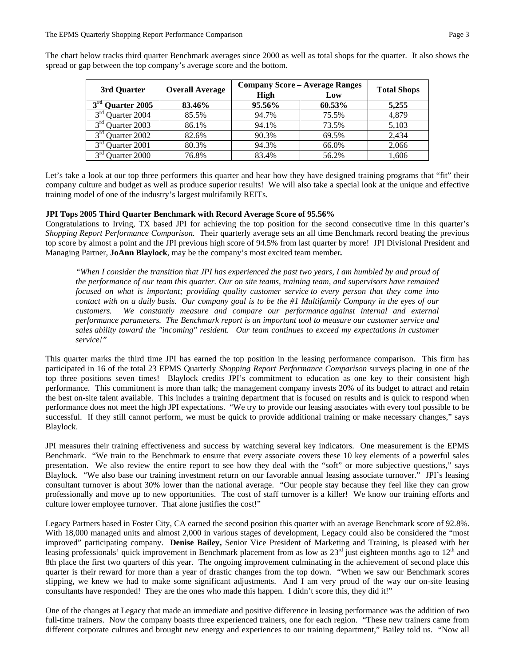| 3rd Quarter                            | <b>Overall Average</b> | <b>Company Score – Average Ranges</b> | <b>Total Shops</b> |       |  |
|----------------------------------------|------------------------|---------------------------------------|--------------------|-------|--|
|                                        |                        | <b>High</b>                           | Low                |       |  |
| 3 <sup>rd</sup><br><b>Quarter 2005</b> | 83.46%                 | 95.56%                                | 60.53%             | 5,255 |  |
| 3 <sup>rd</sup><br>Quarter 2004        | 85.5%                  | 94.7%                                 | 75.5%              | 4.879 |  |
| 3 <sup>rd</sup> Quarter 2003           | 86.1%                  | 94.1%                                 | 73.5%              | 5,103 |  |
| 3 <sup>rd</sup> Quarter 2002           | 82.6%                  | 90.3%                                 | 69.5%              | 2,434 |  |
| 3 <sup>rd</sup><br>Quarter 2001        | 80.3%                  | 94.3%                                 | 66.0%              | 2,066 |  |
| 3 <sup>rd</sup><br>Quarter 2000        | 76.8%                  | 83.4%                                 | 56.2%              | 1.606 |  |

The chart below tracks third quarter Benchmark averages since 2000 as well as total shops for the quarter. It also shows the spread or gap between the top company's average score and the bottom.

Let's take a look at our top three performers this quarter and hear how they have designed training programs that "fit" their company culture and budget as well as produce superior results! We will also take a special look at the unique and effective training model of one of the industry's largest multifamily REITs.

## **JPI Tops 2005 Third Quarter Benchmark with Record Average Score of 95.56%**

Congratulations to Irving, TX based JPI for achieving the top position for the second consecutive time in this quarter's *Shopping Report Performance Comparison.* Their quarterly average sets an all time Benchmark record beating the previous top score by almost a point and the JPI previous high score of 94.5% from last quarter by more! JPI Divisional President and Managing Partner, **JoAnn Blaylock**, may be the company's most excited team member*.* 

*"When I consider the transition that JPI has experienced the past two years, I am humbled by and proud of the performance of our team this quarter. Our on site teams, training team, and supervisors have remained focused on what is important; providing quality customer service to every person that they come into contact with on a daily basis. Our company goal is to be the #1 Multifamily Company in the eyes of our customers. We constantly measure and compare our performance against internal and external performance parameters. The Benchmark report is an important tool to measure our customer service and sales ability toward the "incoming" resident. Our team continues to exceed my expectations in customer service!"* 

This quarter marks the third time JPI has earned the top position in the leasing performance comparison. This firm has participated in 16 of the total 23 EPMS Quarterly *Shopping Report Performance Comparison* surveys placing in one of the top three positions seven times! Blaylock credits JPI's commitment to education as one key to their consistent high performance. This commitment is more than talk; the management company invests 20% of its budget to attract and retain the best on-site talent available. This includes a training department that is focused on results and is quick to respond when performance does not meet the high JPI expectations. "We try to provide our leasing associates with every tool possible to be successful. If they still cannot perform, we must be quick to provide additional training or make necessary changes," says Blaylock.

JPI measures their training effectiveness and success by watching several key indicators. One measurement is the EPMS Benchmark. "We train to the Benchmark to ensure that every associate covers these 10 key elements of a powerful sales presentation. We also review the entire report to see how they deal with the "soft" or more subjective questions," says Blaylock. "We also base our training investment return on our favorable annual leasing associate turnover." JPI's leasing consultant turnover is about 30% lower than the national average. "Our people stay because they feel like they can grow professionally and move up to new opportunities. The cost of staff turnover is a killer! We know our training efforts and culture lower employee turnover. That alone justifies the cost!"

Legacy Partners based in Foster City, CA earned the second position this quarter with an average Benchmark score of 92.8%. With 18,000 managed units and almost 2,000 in various stages of development, Legacy could also be considered the "most improved" participating company. **Denise Bailey,** Senior Vice President of Marketing and Training, is pleased with her leasing professionals' quick improvement in Benchmark placement from as low as  $23<sup>rd</sup>$  just eighteen months ago to  $12<sup>th</sup>$  and 8th place the first two quarters of this year. The ongoing improvement culminating in the achievement of second place this quarter is their reward for more than a year of drastic changes from the top down. "When we saw our Benchmark scores slipping, we knew we had to make some significant adjustments. And I am very proud of the way our on-site leasing consultants have responded! They are the ones who made this happen. I didn't score this, they did it!"

One of the changes at Legacy that made an immediate and positive difference in leasing performance was the addition of two full-time trainers. Now the company boasts three experienced trainers, one for each region. "These new trainers came from different corporate cultures and brought new energy and experiences to our training department," Bailey told us. "Now all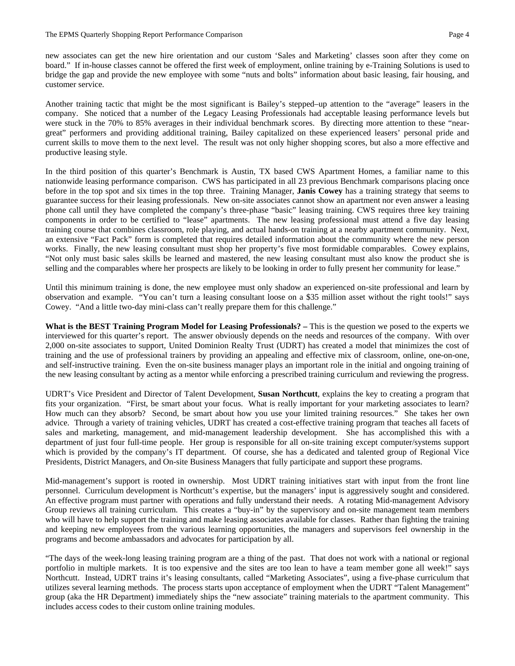new associates can get the new hire orientation and our custom 'Sales and Marketing' classes soon after they come on board." If in-house classes cannot be offered the first week of employment, online training by e-Training Solutions is used to bridge the gap and provide the new employee with some "nuts and bolts" information about basic leasing, fair housing, and customer service.

Another training tactic that might be the most significant is Bailey's stepped–up attention to the "average" leasers in the company. She noticed that a number of the Legacy Leasing Professionals had acceptable leasing performance levels but were stuck in the 70% to 85% averages in their individual benchmark scores. By directing more attention to these "neargreat" performers and providing additional training, Bailey capitalized on these experienced leasers' personal pride and current skills to move them to the next level. The result was not only higher shopping scores, but also a more effective and productive leasing style.

In the third position of this quarter's Benchmark is Austin, TX based CWS Apartment Homes, a familiar name to this nationwide leasing performance comparison. CWS has participated in all 23 previous Benchmark comparisons placing once before in the top spot and six times in the top three. Training Manager, **Janis Cowey** has a training strategy that seems to guarantee success for their leasing professionals. New on-site associates cannot show an apartment nor even answer a leasing phone call until they have completed the company's three-phase "basic" leasing training. CWS requires three key training components in order to be certified to "lease" apartments. The new leasing professional must attend a five day leasing training course that combines classroom, role playing, and actual hands-on training at a nearby apartment community. Next, an extensive "Fact Pack" form is completed that requires detailed information about the community where the new person works. Finally, the new leasing consultant must shop her property's five most formidable comparables. Cowey explains, "Not only must basic sales skills be learned and mastered, the new leasing consultant must also know the product she is selling and the comparables where her prospects are likely to be looking in order to fully present her community for lease."

Until this minimum training is done, the new employee must only shadow an experienced on-site professional and learn by observation and example. "You can't turn a leasing consultant loose on a \$35 million asset without the right tools!" says Cowey. "And a little two-day mini-class can't really prepare them for this challenge."

**What is the BEST Training Program Model for Leasing Professionals?** – This is the question we posed to the experts we interviewed for this quarter's report. The answer obviously depends on the needs and resources of the company. With over 2,000 on-site associates to support, United Dominion Realty Trust (UDRT) has created a model that minimizes the cost of training and the use of professional trainers by providing an appealing and effective mix of classroom, online, one-on-one, and self-instructive training. Even the on-site business manager plays an important role in the initial and ongoing training of the new leasing consultant by acting as a mentor while enforcing a prescribed training curriculum and reviewing the progress.

UDRT's Vice President and Director of Talent Development, **Susan Northcutt**, explains the key to creating a program that fits your organization. "First, be smart about your focus. What is really important for your marketing associates to learn? How much can they absorb? Second, be smart about how you use your limited training resources." She takes her own advice. Through a variety of training vehicles, UDRT has created a cost-effective training program that teaches all facets of sales and marketing, management, and mid-management leadership development. She has accomplished this with a department of just four full-time people. Her group is responsible for all on-site training except computer/systems support which is provided by the company's IT department. Of course, she has a dedicated and talented group of Regional Vice Presidents, District Managers, and On-site Business Managers that fully participate and support these programs.

Mid-management's support is rooted in ownership. Most UDRT training initiatives start with input from the front line personnel. Curriculum development is Northcutt's expertise, but the managers' input is aggressively sought and considered. An effective program must partner with operations and fully understand their needs. A rotating Mid-management Advisory Group reviews all training curriculum. This creates a "buy-in" by the supervisory and on-site management team members who will have to help support the training and make leasing associates available for classes. Rather than fighting the training and keeping new employees from the various learning opportunities, the managers and supervisors feel ownership in the programs and become ambassadors and advocates for participation by all.

"The days of the week-long leasing training program are a thing of the past. That does not work with a national or regional portfolio in multiple markets. It is too expensive and the sites are too lean to have a team member gone all week!" says Northcutt. Instead, UDRT trains it's leasing consultants, called "Marketing Associates", using a five-phase curriculum that utilizes several learning methods. The process starts upon acceptance of employment when the UDRT "Talent Management" group (aka the HR Department) immediately ships the "new associate" training materials to the apartment community. This includes access codes to their custom online training modules.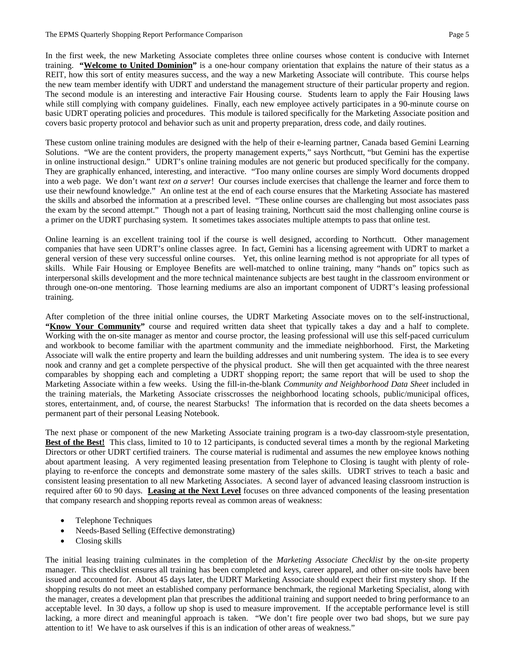In the first week, the new Marketing Associate completes three online courses whose content is conducive with Internet training. **"Welcome to United Dominion"** is a one-hour company orientation that explains the nature of their status as a REIT, how this sort of entity measures success, and the way a new Marketing Associate will contribute. This course helps the new team member identify with UDRT and understand the management structure of their particular property and region. The second module is an interesting and interactive Fair Housing course. Students learn to apply the Fair Housing laws while still complying with company guidelines. Finally, each new employee actively participates in a 90-minute course on basic UDRT operating policies and procedures. This module is tailored specifically for the Marketing Associate position and covers basic property protocol and behavior such as unit and property preparation, dress code, and daily routines.

These custom online training modules are designed with the help of their e-learning partner, Canada based Gemini Learning Solutions. "We are the content providers, the property management experts," says Northcutt, "but Gemini has the expertise in online instructional design." UDRT's online training modules are not generic but produced specifically for the company. They are graphically enhanced, interesting, and interactive. "Too many online courses are simply Word documents dropped into a web page. We don't want *text on a server*! Our courses include exercises that challenge the learner and force them to use their newfound knowledge." An online test at the end of each course ensures that the Marketing Associate has mastered the skills and absorbed the information at a prescribed level. "These online courses are challenging but most associates pass the exam by the second attempt." Though not a part of leasing training, Northcutt said the most challenging online course is a primer on the UDRT purchasing system. It sometimes takes associates multiple attempts to pass that online test.

Online learning is an excellent training tool if the course is well designed, according to Northcutt. Other management companies that have seen UDRT's online classes agree. In fact, Gemini has a licensing agreement with UDRT to market a general version of these very successful online courses. Yet, this online learning method is not appropriate for all types of skills. While Fair Housing or Employee Benefits are well-matched to online training, many "hands on" topics such as interpersonal skills development and the more technical maintenance subjects are best taught in the classroom environment or through one-on-one mentoring. Those learning mediums are also an important component of UDRT's leasing professional training.

After completion of the three initial online courses, the UDRT Marketing Associate moves on to the self-instructional, **"Know Your Community"** course and required written data sheet that typically takes a day and a half to complete. Working with the on-site manager as mentor and course proctor, the leasing professional will use this self-paced curriculum and workbook to become familiar with the apartment community and the immediate neighborhood. First, the Marketing Associate will walk the entire property and learn the building addresses and unit numbering system. The idea is to see every nook and cranny and get a complete perspective of the physical product. She will then get acquainted with the three nearest comparables by shopping each and completing a UDRT shopping report; the same report that will be used to shop the Marketing Associate within a few weeks. Using the fill-in-the-blank *Community and Neighborhood Data Sheet* included in the training materials, the Marketing Associate crisscrosses the neighborhood locating schools, public/municipal offices, stores, entertainment, and, of course, the nearest Starbucks! The information that is recorded on the data sheets becomes a permanent part of their personal Leasing Notebook.

The next phase or component of the new Marketing Associate training program is a two-day classroom-style presentation, **Best of the Best!** This class, limited to 10 to 12 participants, is conducted several times a month by the regional Marketing Directors or other UDRT certified trainers. The course material is rudimental and assumes the new employee knows nothing about apartment leasing. A very regimented leasing presentation from Telephone to Closing is taught with plenty of roleplaying to re-enforce the concepts and demonstrate some mastery of the sales skills. UDRT strives to teach a basic and consistent leasing presentation to all new Marketing Associates. A second layer of advanced leasing classroom instruction is required after 60 to 90 days. **Leasing at the Next Level** focuses on three advanced components of the leasing presentation that company research and shopping reports reveal as common areas of weakness:

- Telephone Techniques
- Needs-Based Selling (Effective demonstrating)
- Closing skills

The initial leasing training culminates in the completion of the *Marketing Associate Checklist* by the on-site property manager. This checklist ensures all training has been completed and keys, career apparel, and other on-site tools have been issued and accounted for. About 45 days later, the UDRT Marketing Associate should expect their first mystery shop. If the shopping results do not meet an established company performance benchmark, the regional Marketing Specialist, along with the manager, creates a development plan that prescribes the additional training and support needed to bring performance to an acceptable level. In 30 days, a follow up shop is used to measure improvement. If the acceptable performance level is still lacking, a more direct and meaningful approach is taken. "We don't fire people over two bad shops, but we sure pay attention to it! We have to ask ourselves if this is an indication of other areas of weakness."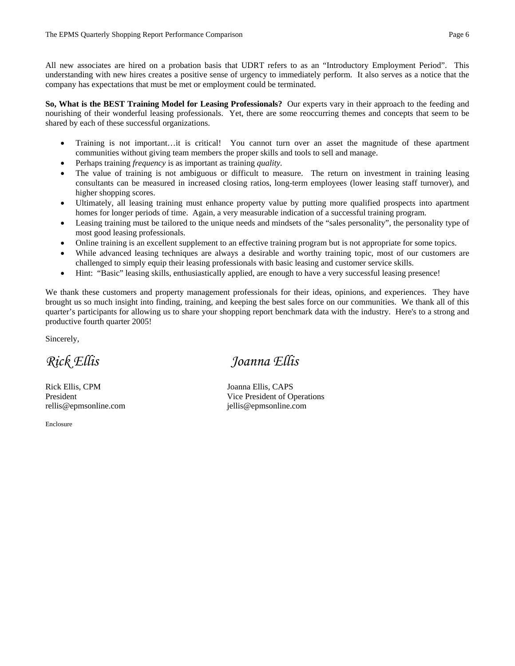All new associates are hired on a probation basis that UDRT refers to as an "Introductory Employment Period". This understanding with new hires creates a positive sense of urgency to immediately perform. It also serves as a notice that the company has expectations that must be met or employment could be terminated.

**So, What is the BEST Training Model for Leasing Professionals?** Our experts vary in their approach to the feeding and nourishing of their wonderful leasing professionals. Yet, there are some reoccurring themes and concepts that seem to be shared by each of these successful organizations.

- Training is not important…it is critical! You cannot turn over an asset the magnitude of these apartment communities without giving team members the proper skills and tools to sell and manage.
- Perhaps training *frequency* is as important as training *quality.*
- The value of training is not ambiguous or difficult to measure. The return on investment in training leasing consultants can be measured in increased closing ratios, long-term employees (lower leasing staff turnover), and higher shopping scores.
- Ultimately, all leasing training must enhance property value by putting more qualified prospects into apartment homes for longer periods of time. Again, a very measurable indication of a successful training program.
- Leasing training must be tailored to the unique needs and mindsets of the "sales personality", the personality type of most good leasing professionals.
- Online training is an excellent supplement to an effective training program but is not appropriate for some topics.
- While advanced leasing techniques are always a desirable and worthy training topic, most of our customers are challenged to simply equip their leasing professionals with basic leasing and customer service skills.
- Hint: "Basic" leasing skills, enthusiastically applied, are enough to have a very successful leasing presence!

We thank these customers and property management professionals for their ideas, opinions, and experiences. They have brought us so much insight into finding, training, and keeping the best sales force on our communities. We thank all of this quarter's participants for allowing us to share your shopping report benchmark data with the industry. Here's to a strong and productive fourth quarter 2005!

Sincerely,

Rick Ellis, CPM Joanna Ellis, CAPS rellis@epmsonline.com jellis@epmsonline.com

Enclosure

*Rick Ellis Joanna Ellis* 

President Vice President of Operations